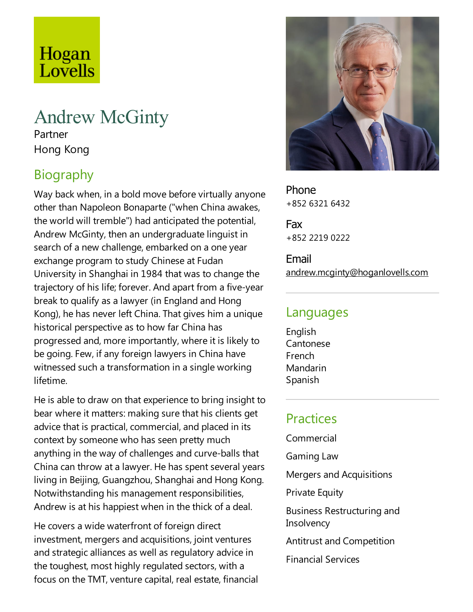# Hogan Lovells

# Andrew McGinty

Partner Hong Kong

# **Biography**

Way back when, in a bold move before virtually anyone other than Napoleon Bonaparte ("when China awakes, the world will tremble") had anticipated the potential, Andrew McGinty, then an undergraduate linguist in search of a new challenge, embarked on a one year exchange program to study Chinese at Fudan University in Shanghai in 1984 that was to change the trajectory of his life; forever. And apart from a five-year break to qualify as alawyer (in England and Hong Kong), he has never left China.That gives him a unique historical perspective as to how far China has progressed and, more importantly, where it is likely to be going. Few, if any foreign lawyers in China have witnessed such a transformation in a single working lifetime.

He is able to draw on that experience to bring insight to bear where it matters: making sure that his clients get advice that is practical, commercial, and placed in its context by someone who has seen pretty much anything in the way of challenges and curve-balls that China can throw at a lawyer. He has spent several years living in Beijing, Guangzhou, Shanghai and Hong Kong. Notwithstanding his management responsibilities, Andrew is at his happiest when in the thick of a deal.

He covers a wide waterfront of foreign direct investment, mergers and acquisitions, joint ventures and strategic alliances as well as regulatory advice in the toughest, most highly regulated sectors, with a focus on the TMT, venture capital, real estate, financial



Phone +852 6321 6432

Fax +852 2219 0222

Email andrew.mcginty@hoganlovells.com

#### Languages

English Cantonese French Mandarin Spanish

## Practices

Commercial Gaming Law Mergers and Acquisitions **Private Equity** Business Restructuring and **Insolvency** Antitrust and Competition Financial Services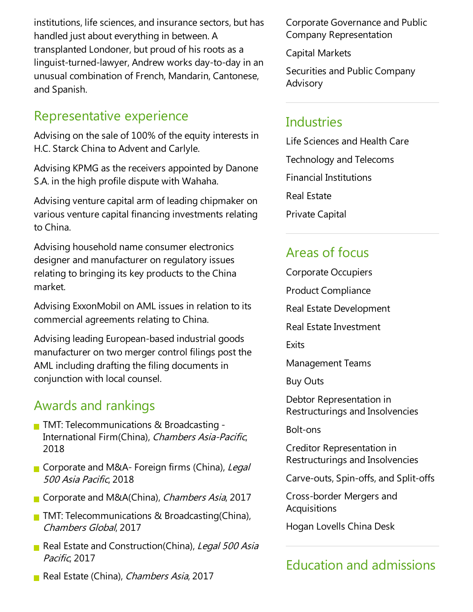institutions, life sciences, and insurance sectors, but has handled just about everything in between. A transplanted Londoner, but proud of his roots as a linguist-turned-lawyer, Andrew works day-to-day in an unusual combination of French, Mandarin, Cantonese, and Spanish.

### Representative experience

Advising on the sale of 100% of the equity interests in H.C. Starck China to Advent and Carlyle.

Advising KPMG as the receivers appointed by Danone S.A. in the high profile dispute with Wahaha.

Advising venture capital arm of leading chipmaker on various venture capital financing investments relating to China.

Advising household name consumer electronics designer and manufacturer on regulatory issues relating to bringing its key products to the China market.

Advising ExxonMobil on AML issues in relation to its commercial agreements relating to China.

Advising leading European-based industrial goods manufacturer on two merger control filings post the AML including drafting the filing documents in conjunction with local counsel.

### Awards and rankings

- **TMT: Telecommunications & Broadcasting -**International Firm(China), Chambers Asia-Pacific, 2018
- Corporate and M&A-Foreign firms (China), Legal <sup>500</sup> Asia Pacific, 2018
- Corporate and M&A(China), Chambers Asia, 2017
- **TMT:** Telecommunications & Broadcasting(China), Chambers Global, 2017
- Real Estate and Construction(China), Legal 500 Asia Pacific, 2017
- Real Estate (China), Chambers Asia, 2017

Corporate Governanceand Public Company Representation

Capital Markets

Securities and Public Company Advisory

#### Industries

Life Sciences and Health Care Technology and Telecoms Financial Institutions Real Estate Private Capital

#### Areas of focus

- Corporate Occupiers
- Product Compliance
- Real Estate Development
- Real Estate Investment

**Exits** 

Management Teams

Buy Outs

Debtor Representation in Restructurings and Insolvencies

Bolt-ons

Creditor Representation in Restructurings and Insolvencies

Carve-outs, Spin-offs,and Split-offs

Cross-border Mergers and Acquisitions

Hogan Lovells China Desk

## Education and admissions